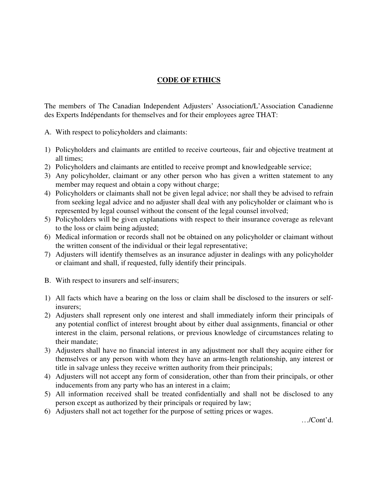## **CODE OF ETHICS**

The members of The Canadian Independent Adjusters' Association/L'Association Canadienne des Experts Indépendants for themselves and for their employees agree THAT:

- A. With respect to policyholders and claimants:
- 1) Policyholders and claimants are entitled to receive courteous, fair and objective treatment at all times;
- 2) Policyholders and claimants are entitled to receive prompt and knowledgeable service;
- 3) Any policyholder, claimant or any other person who has given a written statement to any member may request and obtain a copy without charge;
- 4) Policyholders or claimants shall not be given legal advice; nor shall they be advised to refrain from seeking legal advice and no adjuster shall deal with any policyholder or claimant who is represented by legal counsel without the consent of the legal counsel involved;
- 5) Policyholders will be given explanations with respect to their insurance coverage as relevant to the loss or claim being adjusted;
- 6) Medical information or records shall not be obtained on any policyholder or claimant without the written consent of the individual or their legal representative;
- 7) Adjusters will identify themselves as an insurance adjuster in dealings with any policyholder or claimant and shall, if requested, fully identify their principals.
- B. With respect to insurers and self-insurers;
- 1) All facts which have a bearing on the loss or claim shall be disclosed to the insurers or selfinsurers;
- 2) Adjusters shall represent only one interest and shall immediately inform their principals of any potential conflict of interest brought about by either dual assignments, financial or other interest in the claim, personal relations, or previous knowledge of circumstances relating to their mandate;
- 3) Adjusters shall have no financial interest in any adjustment nor shall they acquire either for themselves or any person with whom they have an arms-length relationship, any interest or title in salvage unless they receive written authority from their principals;
- 4) Adjusters will not accept any form of consideration, other than from their principals, or other inducements from any party who has an interest in a claim;
- 5) All information received shall be treated confidentially and shall not be disclosed to any person except as authorized by their principals or required by law;
- 6) Adjusters shall not act together for the purpose of setting prices or wages.

…/Cont'd.